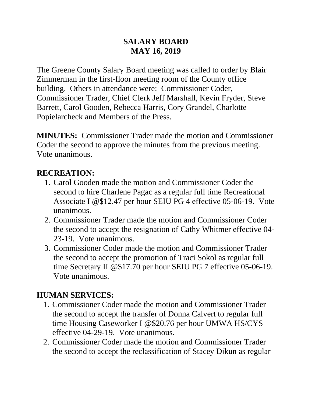#### **SALARY BOARD MAY 16, 2019**

The Greene County Salary Board meeting was called to order by Blair Zimmerman in the first-floor meeting room of the County office building. Others in attendance were: Commissioner Coder, Commissioner Trader, Chief Clerk Jeff Marshall, Kevin Fryder, Steve Barrett, Carol Gooden, Rebecca Harris, Cory Grandel, Charlotte Popielarcheck and Members of the Press.

**MINUTES:** Commissioner Trader made the motion and Commissioner Coder the second to approve the minutes from the previous meeting. Vote unanimous.

### **RECREATION:**

- 1. Carol Gooden made the motion and Commissioner Coder the second to hire Charlene Pagac as a regular full time Recreational Associate I @\$12.47 per hour SEIU PG 4 effective 05-06-19. Vote unanimous.
- 2. Commissioner Trader made the motion and Commissioner Coder the second to accept the resignation of Cathy Whitmer effective 04- 23-19. Vote unanimous.
- 3. Commissioner Coder made the motion and Commissioner Trader the second to accept the promotion of Traci Sokol as regular full time Secretary II @\$17.70 per hour SEIU PG 7 effective 05-06-19. Vote unanimous.

### **HUMAN SERVICES:**

- 1. Commissioner Coder made the motion and Commissioner Trader the second to accept the transfer of Donna Calvert to regular full time Housing Caseworker I @\$20.76 per hour UMWA HS/CYS effective 04-29-19. Vote unanimous.
- 2. Commissioner Coder made the motion and Commissioner Trader the second to accept the reclassification of Stacey Dikun as regular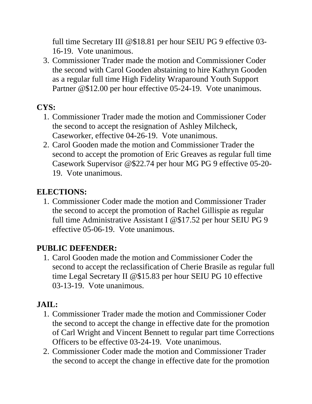full time Secretary III @\$18.81 per hour SEIU PG 9 effective 03- 16-19. Vote unanimous.

3. Commissioner Trader made the motion and Commissioner Coder the second with Carol Gooden abstaining to hire Kathryn Gooden as a regular full time High Fidelity Wraparound Youth Support Partner @\$12.00 per hour effective 05-24-19. Vote unanimous.

# **CYS:**

- 1. Commissioner Trader made the motion and Commissioner Coder the second to accept the resignation of Ashley Milcheck, Caseworker, effective 04-26-19. Vote unanimous.
- 2. Carol Gooden made the motion and Commissioner Trader the second to accept the promotion of Eric Greaves as regular full time Casework Supervisor @\$22.74 per hour MG PG 9 effective 05-20- 19. Vote unanimous.

### **ELECTIONS:**

1. Commissioner Coder made the motion and Commissioner Trader the second to accept the promotion of Rachel Gillispie as regular full time Administrative Assistant I @\$17.52 per hour SEIU PG 9 effective 05-06-19. Vote unanimous.

### **PUBLIC DEFENDER:**

1. Carol Gooden made the motion and Commissioner Coder the second to accept the reclassification of Cherie Brasile as regular full time Legal Secretary II @\$15.83 per hour SEIU PG 10 effective 03-13-19. Vote unanimous.

## **JAIL:**

- 1. Commissioner Trader made the motion and Commissioner Coder the second to accept the change in effective date for the promotion of Carl Wright and Vincent Bennett to regular part time Corrections Officers to be effective 03-24-19. Vote unanimous.
- 2. Commissioner Coder made the motion and Commissioner Trader the second to accept the change in effective date for the promotion